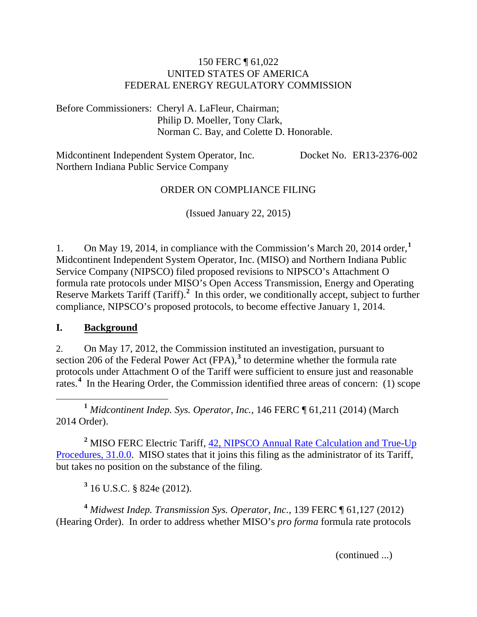#### 150 FERC ¶ 61,022 UNITED STATES OF AMERICA FEDERAL ENERGY REGULATORY COMMISSION

Before Commissioners: Cheryl A. LaFleur, Chairman; Philip D. Moeller, Tony Clark, Norman C. Bay, and Colette D. Honorable.

Midcontinent Independent System Operator, Inc. Northern Indiana Public Service Company Docket No. ER13-2376-002

#### ORDER ON COMPLIANCE FILING

(Issued January 22, 2015)

1. On May 19, 2014, in compliance with the Commission's March 20, 2014 order,**[1](#page-0-0)** Midcontinent Independent System Operator, Inc. (MISO) and Northern Indiana Public Service Company (NIPSCO) filed proposed revisions to NIPSCO's Attachment O formula rate protocols under MISO's Open Access Transmission, Energy and Operating Reserve Markets Tariff (Tariff).<sup>[2](#page-0-1)</sup> In this order, we conditionally accept, subject to further compliance, NIPSCO's proposed protocols, to become effective January 1, 2014.

#### **I. Background**

2. On May 17, 2012, the Commission instituted an investigation, pursuant to section 206 of the Federal Power Act (FPA),<sup>[3](#page-0-2)</sup> to determine whether the formula rate protocols under Attachment O of the Tariff were sufficient to ensure just and reasonable rates.<sup>[4](#page-0-3)</sup> In the Hearing Order, the Commission identified three areas of concern: (1) scope

<span id="page-0-0"></span> **<sup>1</sup>** *Midcontinent Indep. Sys. Operator*, *Inc.,* 146 FERC ¶ 61,211 (2014) (March 2014 Order).

<span id="page-0-1"></span><sup>2</sup> MISO FERC Electric Tariff, 42, NIPSCO Annual Rate Calculation and True-Up [Procedures, 31.0.0.](http://etariff.ferc.gov/TariffSectionDetails.aspx?tid=1162&sid=162867) MISO states that it joins this filing as the administrator of its Tariff, but takes no position on the substance of the filing.

**<sup>3</sup>** 16 U.S.C. § 824e (2012).

<span id="page-0-3"></span><span id="page-0-2"></span>**<sup>4</sup>** *Midwest Indep. Transmission Sys. Operator, Inc.*, 139 FERC ¶ 61,127 (2012) (Hearing Order). In order to address whether MISO's *pro forma* formula rate protocols

(continued ...)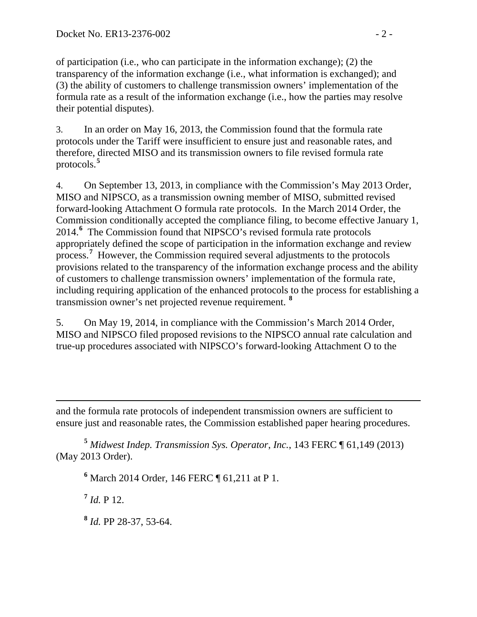of participation (i.e., who can participate in the information exchange); (2) the transparency of the information exchange (i.e., what information is exchanged); and (3) the ability of customers to challenge transmission owners' implementation of the formula rate as a result of the information exchange (i.e., how the parties may resolve their potential disputes).

3. In an order on May 16, 2013, the Commission found that the formula rate protocols under the Tariff were insufficient to ensure just and reasonable rates, and therefore, directed MISO and its transmission owners to file revised formula rate protocols.**[5](#page-1-0)**

4. On September 13, 2013, in compliance with the Commission's May 2013 Order, MISO and NIPSCO, as a transmission owning member of MISO, submitted revised forward-looking Attachment O formula rate protocols. In the March 2014 Order, the Commission conditionally accepted the compliance filing, to become effective January 1, 2014.**[6](#page-1-1)** The Commission found that NIPSCO's revised formula rate protocols appropriately defined the scope of participation in the information exchange and review process.<sup>[7](#page-1-2)</sup> However, the Commission required several adjustments to the protocols provisions related to the transparency of the information exchange process and the ability of customers to challenge transmission owners' implementation of the formula rate, including requiring application of the enhanced protocols to the process for establishing a transmission owner's net projected revenue requirement. **[8](#page-1-3)**

5. On May 19, 2014, in compliance with the Commission's March 2014 Order, MISO and NIPSCO filed proposed revisions to the NIPSCO annual rate calculation and true-up procedures associated with NIPSCO's forward-looking Attachment O to the

 $\overline{a}$ and the formula rate protocols of independent transmission owners are sufficient to ensure just and reasonable rates, the Commission established paper hearing procedures.

<span id="page-1-2"></span><span id="page-1-1"></span><span id="page-1-0"></span>**<sup>5</sup>** *Midwest Indep. Transmission Sys. Operator*, *Inc.*, 143 FERC ¶ 61,149 (2013) (May 2013 Order).

**<sup>6</sup>** March 2014 Order*,* 146 FERC ¶ 61,211 at P 1.

 $^7$  *Id.* P 12.

<span id="page-1-3"></span>**<sup>8</sup>** *Id.* PP 28-37, 53-64.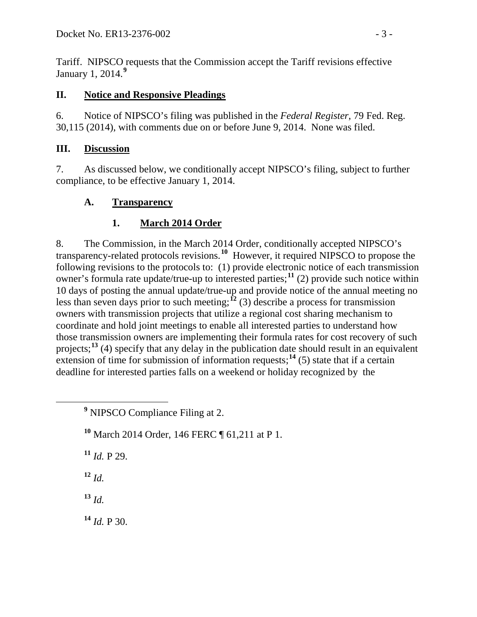Tariff. NIPSCO requests that the Commission accept the Tariff revisions effective January 1, 2014.**[9](#page-2-0)**

### **II. Notice and Responsive Pleadings**

6. Notice of NIPSCO's filing was published in the *Federal Register*, 79 Fed. Reg. 30,115 (2014), with comments due on or before June 9, 2014. None was filed.

## **III. Discussion**

7. As discussed below, we conditionally accept NIPSCO's filing, subject to further compliance, to be effective January 1, 2014.

## **A. Transparency**

# **1. March 2014 Order**

8. The Commission, in the March 2014 Order, conditionally accepted NIPSCO's transparency-related protocols revisions.**[10](#page-2-1)** However, it required NIPSCO to propose the following revisions to the protocols to: (1) provide electronic notice of each transmission owner's formula rate update/true-up to interested parties;**[11](#page-2-2)** (2) provide such notice within 10 days of posting the annual update/true-up and provide notice of the annual meeting no less than seven days prior to such meeting;<sup> $12$ </sup> (3) describe a process for transmission owners with transmission projects that utilize a regional cost sharing mechanism to coordinate and hold joint meetings to enable all interested parties to understand how those transmission owners are implementing their formula rates for cost recovery of such projects;**[13](#page-2-4)** (4) specify that any delay in the publication date should result in an equivalent extension of time for submission of information requests;  $14$  (5) state that if a certain deadline for interested parties falls on a weekend or holiday recognized by the

<span id="page-2-2"></span> $11$  *Id.* P 29.

<span id="page-2-3"></span> $12 \, Id.$ 

<span id="page-2-4"></span>**<sup>13</sup>** *Id.*

<span id="page-2-5"></span> $14$  *Id.* P 30.

<span id="page-2-0"></span>**<sup>9</sup>** NIPSCO Compliance Filing at 2.

<span id="page-2-1"></span>**<sup>10</sup>** March 2014 Order, 146 FERC ¶ 61,211 at P 1.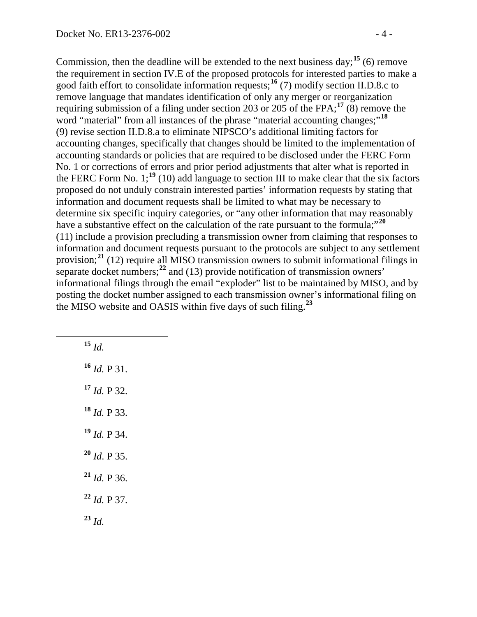Commission, then the deadline will be extended to the next business day;<sup>[15](#page-3-0)</sup> (6) remove the requirement in section IV.E of the proposed protocols for interested parties to make a good faith effort to consolidate information requests;**[16](#page-3-1)** (7) modify section II.D.8.c to remove language that mandates identification of only any merger or reorganization requiring submission of a filing under section 203 or 205 of the FPA; **[17](#page-3-2)** (8) remove the word "material" from all instances of the phrase "material accounting changes;"<sup>[18](#page-3-3)</sup> (9) revise section II.D.8.a to eliminate NIPSCO's additional limiting factors for accounting changes, specifically that changes should be limited to the implementation of accounting standards or policies that are required to be disclosed under the FERC Form No. 1 or corrections of errors and prior period adjustments that alter what is reported in the FERC Form No.  $1$ ;<sup>[19](#page-3-4)</sup> (10) add language to section III to make clear that the six factors proposed do not unduly constrain interested parties' information requests by stating that information and document requests shall be limited to what may be necessary to determine six specific inquiry categories, or "any other information that may reasonably have a substantive effect on the calculation of the rate pursuant to the formula;<sup>"[20](#page-3-5)</sup> (11) include a provision precluding a transmission owner from claiming that responses to information and document requests pursuant to the protocols are subject to any settlement provision;**[21](#page-3-6)** (12) require all MISO transmission owners to submit informational filings in separate docket numbers;<sup>[22](#page-3-7)</sup> and (13) provide notification of transmission owners' informational filings through the email "exploder" list to be maintained by MISO, and by posting the docket number assigned to each transmission owner's informational filing on the MISO website and OASIS within five days of such filing.**[23](#page-3-8)**

<span id="page-3-8"></span><span id="page-3-7"></span><span id="page-3-6"></span><span id="page-3-5"></span><span id="page-3-4"></span><span id="page-3-3"></span><span id="page-3-2"></span><span id="page-3-1"></span><span id="page-3-0"></span> **<sup>15</sup>** *Id. Id.* P 31. *Id.* P 32. *Id.* P 33. *Id.* P 34. *Id*. P 35. *Id.* P 36. *Id.* P 37. **<sup>23</sup>** *Id.*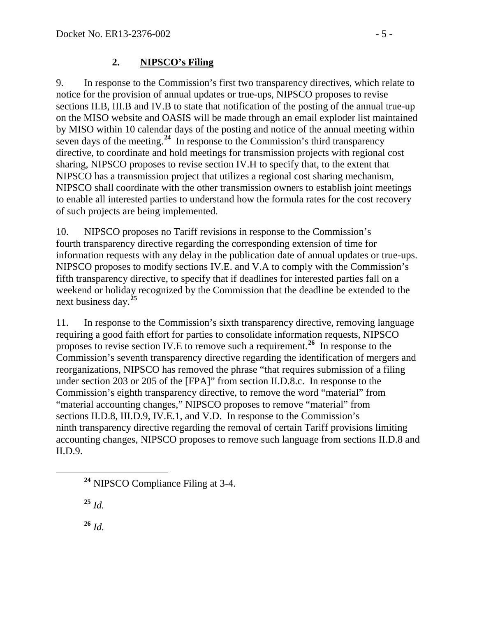### **2. NIPSCO's Filing**

9. In response to the Commission's first two transparency directives, which relate to notice for the provision of annual updates or true-ups, NIPSCO proposes to revise sections II.B, III.B and IV.B to state that notification of the posting of the annual true-up on the MISO website and OASIS will be made through an email exploder list maintained by MISO within 10 calendar days of the posting and notice of the annual meeting within seven days of the meeting.<sup>[24](#page-4-0)</sup> In response to the Commission's third transparency directive, to coordinate and hold meetings for transmission projects with regional cost sharing, NIPSCO proposes to revise section IV.H to specify that, to the extent that NIPSCO has a transmission project that utilizes a regional cost sharing mechanism, NIPSCO shall coordinate with the other transmission owners to establish joint meetings to enable all interested parties to understand how the formula rates for the cost recovery of such projects are being implemented.

10. NIPSCO proposes no Tariff revisions in response to the Commission's fourth transparency directive regarding the corresponding extension of time for information requests with any delay in the publication date of annual updates or true-ups. NIPSCO proposes to modify sections IV.E. and V.A to comply with the Commission's fifth transparency directive, to specify that if deadlines for interested parties fall on a weekend or holiday recognized by the Commission that the deadline be extended to the next business day.**[25](#page-4-1)**

11. In response to the Commission's sixth transparency directive, removing language requiring a good faith effort for parties to consolidate information requests, NIPSCO proposes to revise section IV.E to remove such a requirement.**[26](#page-4-2)** In response to the Commission's seventh transparency directive regarding the identification of mergers and reorganizations, NIPSCO has removed the phrase "that requires submission of a filing under section 203 or 205 of the [FPA]" from section II.D.8.c. In response to the Commission's eighth transparency directive, to remove the word "material" from "material accounting changes," NIPSCO proposes to remove "material" from sections II.D.8, III.D.9, IV.E.1, and V.D. In response to the Commission's ninth transparency directive regarding the removal of certain Tariff provisions limiting accounting changes, NIPSCO proposes to remove such language from sections II.D.8 and II.D.9.

<span id="page-4-1"></span>**<sup>25</sup>** *Id.*

<span id="page-4-2"></span>**<sup>26</sup>** *Id.*

<span id="page-4-0"></span>**<sup>24</sup>** NIPSCO Compliance Filing at 3-4.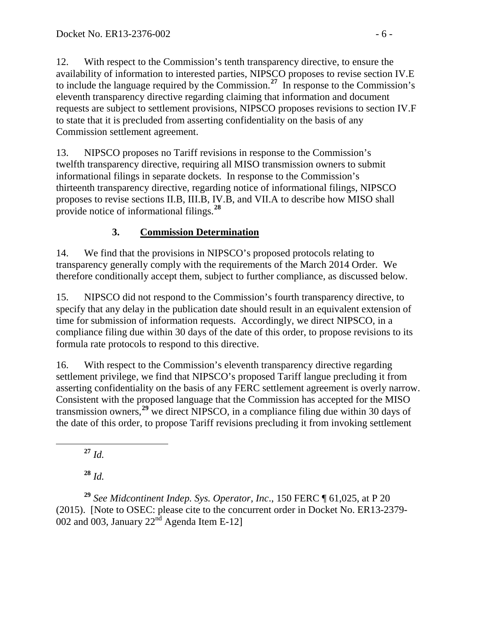12. With respect to the Commission's tenth transparency directive, to ensure the availability of information to interested parties, NIPSCO proposes to revise section IV.E to include the language required by the Commission.**[27](#page-5-0)** In response to the Commission's eleventh transparency directive regarding claiming that information and document requests are subject to settlement provisions, NIPSCO proposes revisions to section IV.F to state that it is precluded from asserting confidentiality on the basis of any Commission settlement agreement.

13. NIPSCO proposes no Tariff revisions in response to the Commission's twelfth transparency directive, requiring all MISO transmission owners to submit informational filings in separate dockets. In response to the Commission's thirteenth transparency directive, regarding notice of informational filings, NIPSCO proposes to revise sections II.B, III.B, IV.B, and VII.A to describe how MISO shall provide notice of informational filings.**[28](#page-5-1)**

# **3. Commission Determination**

14. We find that the provisions in NIPSCO's proposed protocols relating to transparency generally comply with the requirements of the March 2014 Order. We therefore conditionally accept them, subject to further compliance, as discussed below.

15. NIPSCO did not respond to the Commission's fourth transparency directive, to specify that any delay in the publication date should result in an equivalent extension of time for submission of information requests. Accordingly, we direct NIPSCO, in a compliance filing due within 30 days of the date of this order, to propose revisions to its formula rate protocols to respond to this directive.

16. With respect to the Commission's eleventh transparency directive regarding settlement privilege, we find that NIPSCO's proposed Tariff langue precluding it from asserting confidentiality on the basis of any FERC settlement agreement is overly narrow. Consistent with the proposed language that the Commission has accepted for the MISO transmission owners,**[29](#page-5-2)** we direct NIPSCO, in a compliance filing due within 30 days of the date of this order, to propose Tariff revisions precluding it from invoking settlement

**<sup>27</sup>** *Id.*

**<sup>28</sup>** *Id.*

<span id="page-5-2"></span><span id="page-5-1"></span><span id="page-5-0"></span>**<sup>29</sup>** *See Midcontinent Indep. Sys. Operator, Inc*., 150 FERC ¶ 61,025, at P 20 (2015). [Note to OSEC: please cite to the concurrent order in Docket No. ER13-2379- 002 and 003, January  $22<sup>nd</sup>$  Agenda Item E-12]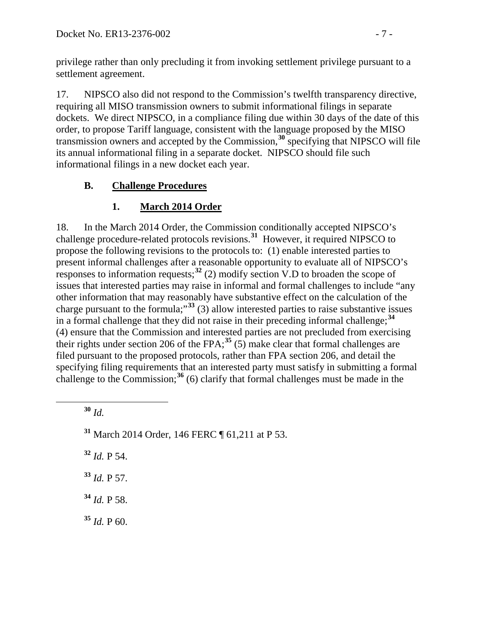privilege rather than only precluding it from invoking settlement privilege pursuant to a settlement agreement.

17. NIPSCO also did not respond to the Commission's twelfth transparency directive, requiring all MISO transmission owners to submit informational filings in separate dockets. We direct NIPSCO, in a compliance filing due within 30 days of the date of this order, to propose Tariff language, consistent with the language proposed by the MISO transmission owners and accepted by the Commission, **[30](#page-6-0)** specifying that NIPSCO will file its annual informational filing in a separate docket. NIPSCO should file such informational filings in a new docket each year.

## **B. Challenge Procedures**

# **1. March 2014 Order**

18. In the March 2014 Order, the Commission conditionally accepted NIPSCO's challenge procedure-related protocols revisions.**[31](#page-6-1)** However, it required NIPSCO to propose the following revisions to the protocols to: (1) enable interested parties to present informal challenges after a reasonable opportunity to evaluate all of NIPSCO's responses to information requests;**[32](#page-6-2)** (2) modify section V.D to broaden the scope of issues that interested parties may raise in informal and formal challenges to include "any other information that may reasonably have substantive effect on the calculation of the charge pursuant to the formula;"**[33](#page-6-3)** (3) allow interested parties to raise substantive issues in a formal challenge that they did not raise in their preceding informal challenge;**[34](#page-6-4)** (4) ensure that the Commission and interested parties are not precluded from exercising their rights under section 206 of the FPA;<sup>[35](#page-6-5)</sup> (5) make clear that formal challenges are filed pursuant to the proposed protocols, rather than FPA section 206, and detail the specifying filing requirements that an interested party must satisfy in submitting a formal challenge to the Commission;**[36](#page-6-2)** (6) clarify that formal challenges must be made in the

<span id="page-6-0"></span>**<sup>30</sup>** *Id.*

<span id="page-6-1"></span>**<sup>31</sup>** March 2014 Order, 146 FERC ¶ 61,211 at P 53.

<span id="page-6-2"></span>**<sup>32</sup>** *Id.* P 54.

<span id="page-6-3"></span>**<sup>33</sup>** *Id.* P 57.

<span id="page-6-4"></span>**<sup>34</sup>** *Id.* P 58.

<span id="page-6-5"></span> $35$  *Id.* P 60.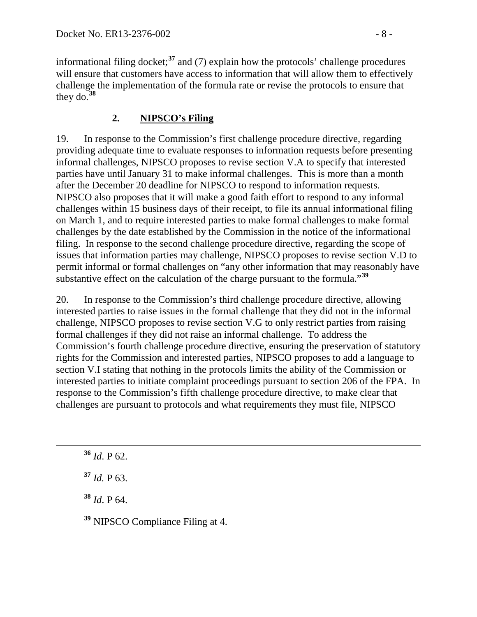informational filing docket;**[37](#page-7-0)** and (7) explain how the protocols' challenge procedures will ensure that customers have access to information that will allow them to effectively challenge the implementation of the formula rate or revise the protocols to ensure that they do.**[38](#page-7-1)**

### **2. NIPSCO's Filing**

19. In response to the Commission's first challenge procedure directive, regarding providing adequate time to evaluate responses to information requests before presenting informal challenges, NIPSCO proposes to revise section V.A to specify that interested parties have until January 31 to make informal challenges. This is more than a month after the December 20 deadline for NIPSCO to respond to information requests. NIPSCO also proposes that it will make a good faith effort to respond to any informal challenges within 15 business days of their receipt, to file its annual informational filing on March 1, and to require interested parties to make formal challenges to make formal challenges by the date established by the Commission in the notice of the informational filing. In response to the second challenge procedure directive, regarding the scope of issues that information parties may challenge, NIPSCO proposes to revise section V.D to permit informal or formal challenges on "any other information that may reasonably have substantive effect on the calculation of the charge pursuant to the formula."**[39](#page-7-2)**

20. In response to the Commission's third challenge procedure directive, allowing interested parties to raise issues in the formal challenge that they did not in the informal challenge, NIPSCO proposes to revise section V.G to only restrict parties from raising formal challenges if they did not raise an informal challenge. To address the Commission's fourth challenge procedure directive, ensuring the preservation of statutory rights for the Commission and interested parties, NIPSCO proposes to add a language to section V.I stating that nothing in the protocols limits the ability of the Commission or interested parties to initiate complaint proceedings pursuant to section 206 of the FPA. In response to the Commission's fifth challenge procedure directive, to make clear that challenges are pursuant to protocols and what requirements they must file, NIPSCO

**<sup>36</sup>** *Id*. P 62.

<span id="page-7-0"></span>**<sup>37</sup>** *Id.* P 63.

<span id="page-7-1"></span>**<sup>38</sup>** *Id*. P 64.

<span id="page-7-2"></span>**<sup>39</sup>** NIPSCO Compliance Filing at 4.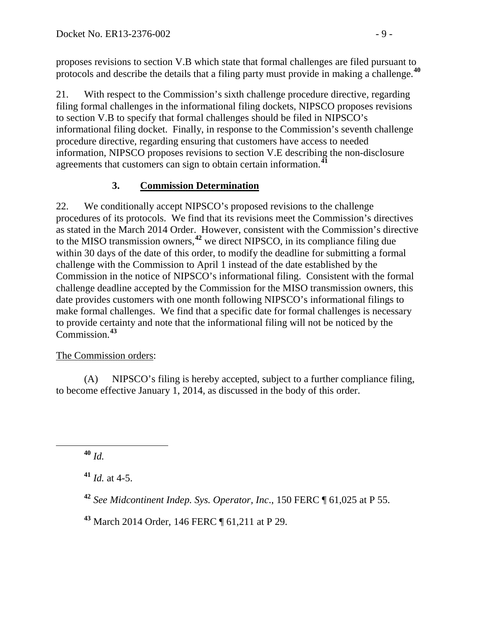proposes revisions to section V.B which state that formal challenges are filed pursuant to protocols and describe the details that a filing party must provide in making a challenge.**[40](#page-8-0)**

21. With respect to the Commission's sixth challenge procedure directive, regarding filing formal challenges in the informational filing dockets, NIPSCO proposes revisions to section V.B to specify that formal challenges should be filed in NIPSCO's informational filing docket. Finally, in response to the Commission's seventh challenge procedure directive, regarding ensuring that customers have access to needed information, NIPSCO proposes revisions to section V.E describing the non-disclosure agreements that customers can sign to obtain certain information.**[41](#page-8-1)**

## **3. Commission Determination**

22. We conditionally accept NIPSCO's proposed revisions to the challenge procedures of its protocols. We find that its revisions meet the Commission's directives as stated in the March 2014 Order. However, consistent with the Commission's directive to the MISO transmission owners, **[42](#page-8-2)** we direct NIPSCO, in its compliance filing due within 30 days of the date of this order, to modify the deadline for submitting a formal challenge with the Commission to April 1 instead of the date established by the Commission in the notice of NIPSCO's informational filing. Consistent with the formal challenge deadline accepted by the Commission for the MISO transmission owners, this date provides customers with one month following NIPSCO's informational filings to make formal challenges. We find that a specific date for formal challenges is necessary to provide certainty and note that the informational filing will not be noticed by the Commission. **[43](#page-8-3)**

### The Commission orders:

(A) NIPSCO's filing is hereby accepted, subject to a further compliance filing, to become effective January 1, 2014, as discussed in the body of this order.

<span id="page-8-0"></span>**<sup>40</sup>** *Id.*

<span id="page-8-1"></span>**<sup>41</sup>** *Id.* at 4-5.

<span id="page-8-2"></span>**<sup>42</sup>** *See Midcontinent Indep. Sys. Operator, Inc*., 150 FERC ¶ 61,025 at P 55.

<span id="page-8-3"></span>**<sup>43</sup>** March 2014 Order*,* 146 FERC ¶ 61,211 at P 29.